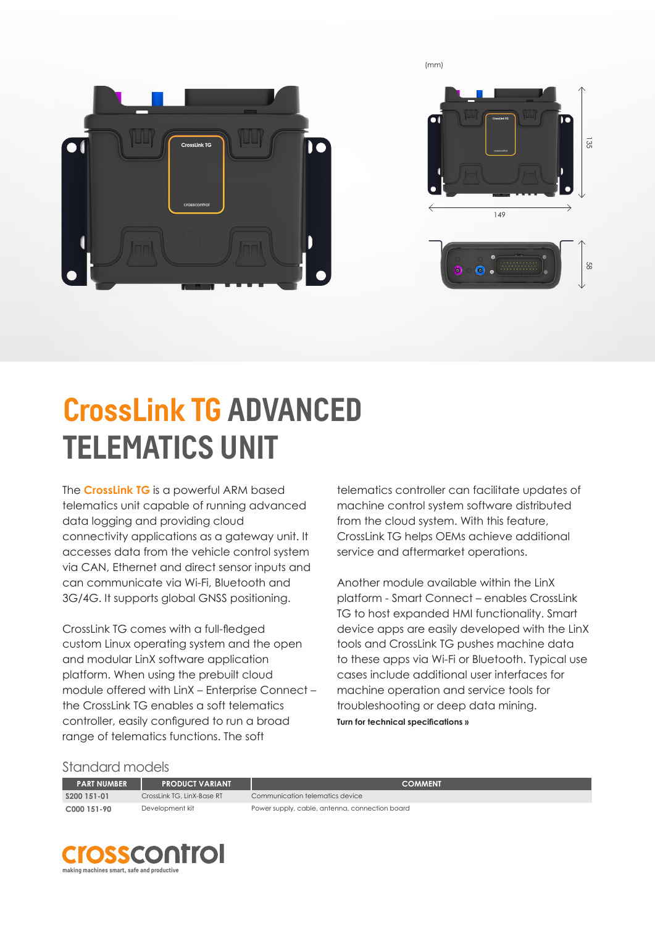

## **CrossLink TG ADVANCED TELEMATICS UNIT**

The **CrossLink TG** is a powerful ARM based telematics unit capable of running advanced data logging and providing cloud connectivity applications as a gateway unit. It accesses data from the vehicle control system via CAN, Ethernet and direct sensor inputs and can communicate via Wi-Fi, Bluetooth and 3G/4G. It supports global GNSS positioning.

CrossLink TG comes with a full-fledged custom Linux operating system and the open and modular LinX software application platform. When using the prebuilt cloud module offered with LinX – Enterprise Connect – the CrossLink TG enables a soft telematics controller, easily configured to run a broad range of telematics functions. The soft

telematics controller can facilitate updates of machine control system software distributed from the cloud system. With this feature, CrossLink TG helps OEMs achieve additional service and aftermarket operations.

Another module available within the LinX platform - Smart Connect – enables CrossLink TG to host expanded HMI functionality. Smart device apps are easily developed with the LinX tools and CrossLink TG pushes machine data to these apps via Wi-Fi or Bluetooth. Typical use cases include additional user interfaces for machine operation and service tools for troubleshooting or deep data mining. **Turn for technical specifications »**

## Standard models

| <b>PART NUMBER</b> | <b>PRODUCT VARIANT</b>     | <b>COMMENT</b>                                 |
|--------------------|----------------------------|------------------------------------------------|
| S200 151-01        | CrossLink TG, LinX-Base RT | Communication telematics device                |
| C000 151-90        | Development kit            | Power supply, cable, antenna, connection board |